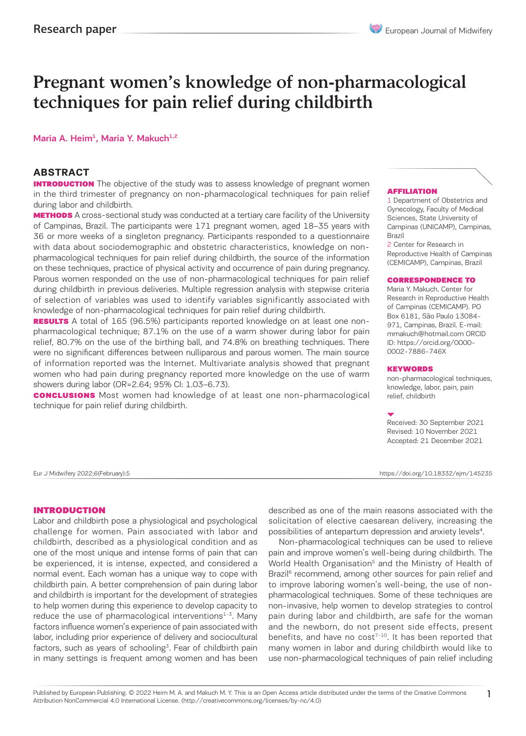# Pregnant women's knowledge of non-pharmacological techniques for pain relief during childbirth

### Maria A. Heim<sup>1</sup>, Maria Y. Makuch<sup>1,2</sup>

### **ABSTRACT**

**INTRODUCTION** The objective of the study was to assess knowledge of pregnant women in the third trimester of pregnancy on non-pharmacological techniques for pain relief during labor and childbirth.

**METHODS** A cross-sectional study was conducted at a tertiary care facility of the University of Campinas, Brazil. The participants were 171 pregnant women, aged 18–35 years with 36 or more weeks of a singleton pregnancy. Participants responded to a questionnaire with data about sociodemographic and obstetric characteristics, knowledge on nonpharmacological techniques for pain relief during childbirth, the source of the information on these techniques, practice of physical activity and occurrence of pain during pregnancy. Parous women responded on the use of non-pharmacological techniques for pain relief during childbirth in previous deliveries. Multiple regression analysis with stepwise criteria of selection of variables was used to identify variables significantly associated with knowledge of non-pharmacological techniques for pain relief during childbirth.

**RESULTS** A total of 165 (96.5%) participants reported knowledge on at least one nonpharmacological technique; 87.1% on the use of a warm shower during labor for pain relief, 80.7% on the use of the birthing ball, and 74.8% on breathing techniques. There were no significant differences between nulliparous and parous women. The main source of information reported was the Internet. Multivariate analysis showed that pregnant women who had pain during pregnancy reported more knowledge on the use of warm showers during labor (OR=2.64; 95% CI: 1.03–6.73).

**CONCLUSIONS** Most women had knowledge of at least one non-pharmacological technique for pain relief during childbirth.

### **AFFILIATION**

1 Department of Obstetrics and Gynecology, Faculty of Medical Sciences, State University of Campinas (UNICAMP), Campinas, Brazil

2 Center for Research in Reproductive Health of Campinas (CEMICAMP), Campinas, Brazil

#### CORRESPONDENCE TO

Maria Y. Makuch. Center for Research in Reproductive Health of Campinas (CEMICAMP). PO Box 6181, São Paulo 13084- 971, Campinas, Brazil. E-mail: mmakuch@hotmail.com ORCID ID: https://orcid.org/0000- 0002-7886-746X

#### **KEYWORDS**

non-pharmacological techniques, knowledge, labor, pain, pain relief, childbirth

Received: 30 September 2021 Revised: 10 November 2021 Accepted: 21 December 2021

Eur J Midwifery 2022;6(February):5 https://doi.org/10.18332/ejm/145235

### INTRODUCTION

Labor and childbirth pose a physiological and psychological challenge for women. Pain associated with labor and childbirth, described as a physiological condition and as one of the most unique and intense forms of pain that can be experienced, it is intense, expected, and considered a normal event. Each woman has a unique way to cope with childbirth pain. A better comprehension of pain during labor and childbirth is important for the development of strategies to help women during this experience to develop capacity to reduce the use of pharmacological interventions $1-3$ . Many factors influence women's experience of pain associated with labor, including prior experience of delivery and sociocultural factors, such as years of schooling<sup>3</sup>. Fear of childbirth pain in many settings is frequent among women and has been

described as one of the main reasons associated with the solicitation of elective caesarean delivery, increasing the possibilities of antepartum depression and anxiety levels<sup>4</sup>.

Non-pharmacological techniques can be used to relieve pain and improve women's well-being during childbirth. The World Health Organisation<sup>5</sup> and the Ministry of Health of Brazil<sup>6</sup> recommend, among other sources for pain relief and to improve laboring women's well-being, the use of nonpharmacological techniques. Some of these techniques are non-invasive, help women to develop strategies to control pain during labor and childbirth, are safe for the woman and the newborn, do not present side effects, present benefits, and have no  $cost^{7-10}$ . It has been reported that many women in labor and during childbirth would like to use non-pharmacological techniques of pain relief including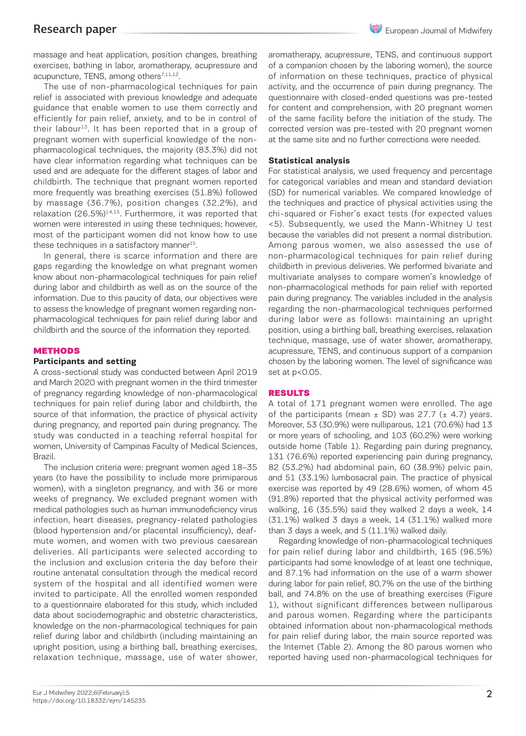massage and heat application, position changes, breathing exercises, bathing in labor, aromatherapy, acupressure and acupuncture, TENS, among others<sup>7,11,12</sup>.

The use of non-pharmacological techniques for pain relief is associated with previous knowledge and adequate guidance that enable women to use them correctly and efficiently for pain relief, anxiety, and to be in control of their labour<sup>13</sup>. It has been reported that in a group of pregnant women with superficial knowledge of the nonpharmacological techniques, the majority (83.3%) did not have clear information regarding what techniques can be used and are adequate for the different stages of labor and childbirth. The technique that pregnant women reported more frequently was breathing exercises (51.8%) followed by massage (36.7%), position changes (32.2%), and relaxation  $(26.5\%)^{14,15}$ . Furthermore, it was reported that women were interested in using these techniques; however, most of the participant women did not know how to use these techniques in a satisfactory manner $15$ .

In general, there is scarce information and there are gaps regarding the knowledge on what pregnant women know about non-pharmacological techniques for pain relief during labor and childbirth as well as on the source of the information. Due to this paucity of data, our objectives were to assess the knowledge of pregnant women regarding nonpharmacological techniques for pain relief during labor and childbirth and the source of the information they reported.

## **METHODS**

# **Participants and setting**

A cross-sectional study was conducted between April 2019 and March 2020 with pregnant women in the third trimester of pregnancy regarding knowledge of non-pharmacological techniques for pain relief during labor and childbirth, the source of that information, the practice of physical activity during pregnancy, and reported pain during pregnancy. The study was conducted in a teaching referral hospital for women, University of Campinas Faculty of Medical Sciences, Brazil.

The inclusion criteria were: pregnant women aged 18–35 years (to have the possibility to include more primiparous women), with a singleton pregnancy, and with 36 or more weeks of pregnancy. We excluded pregnant women with medical pathologies such as human immunodeficiency virus infection, heart diseases, pregnancy-related pathologies (blood hypertension and/or placental insufficiency), deafmute women, and women with two previous caesarean deliveries. All participants were selected according to the inclusion and exclusion criteria the day before their routine antenatal consultation through the medical record system of the hospital and all identified women were invited to participate. All the enrolled women responded to a questionnaire elaborated for this study, which included data about sociodemographic and obstetric characteristics, knowledge on the non-pharmacological techniques for pain relief during labor and childbirth (including maintaining an upright position, using a birthing ball, breathing exercises, relaxation technique, massage, use of water shower,

aromatherapy, acupressure, TENS, and continuous support of a companion chosen by the laboring women), the source of information on these techniques, practice of physical activity, and the occurrence of pain during pregnancy. The questionnaire with closed-ended questions was pre-tested for content and comprehension, with 20 pregnant women of the same facility before the initiation of the study. The corrected version was pre-tested with 20 pregnant women at the same site and no further corrections were needed.

# **Statistical analysis**

For statistical analysis, we used frequency and percentage for categorical variables and mean and standard deviation (SD) for numerical variables. We compared knowledge of the techniques and practice of physical activities using the chi-squared or Fisher's exact tests (for expected values <5). Subsequently, we used the Mann-Whitney U test because the variables did not present a normal distribution. Among parous women, we also assessed the use of non-pharmacological techniques for pain relief during childbirth in previous deliveries. We performed bivariate and multivariate analyses to compare women's knowledge of non-pharmacological methods for pain relief with reported pain during pregnancy. The variables included in the analysis regarding the non-pharmacological techniques performed during labor were as follows: maintaining an upright position, using a birthing ball, breathing exercises, relaxation technique, massage, use of water shower, aromatherapy, acupressure, TENS, and continuous support of a companion chosen by the laboring women. The level of significance was set at p<0.05.

## RESULTS

A total of 171 pregnant women were enrolled. The age of the participants (mean  $\pm$  SD) was 27.7 ( $\pm$  4.7) years. Moreover, 53 (30.9%) were nulliparous, 121 (70.6%) had 13 or more years of schooling, and 103 (60.2%) were working outside home (Table 1). Regarding pain during pregnancy, 131 (76.6%) reported experiencing pain during pregnancy, 82 (53.2%) had abdominal pain, 60 (38.9%) pelvic pain, and 51 (33.1%) lumbosacral pain. The practice of physical exercise was reported by 49 (28.6%) women, of whom 45 (91.8%) reported that the physical activity performed was walking, 16 (35.5%) said they walked 2 days a week, 14 (31.1%) walked 3 days a week, 14 (31.1%) walked more than 3 days a week, and 5 (11.1%) walked daily.

Regarding knowledge of non-pharmacological techniques for pain relief during labor and childbirth, 165 (96.5%) participants had some knowledge of at least one technique, and 87.1% had information on the use of a warm shower during labor for pain relief, 80.7% on the use of the birthing ball, and 74.8% on the use of breathing exercises (Figure 1), without significant differences between nulliparous and parous women. Regarding where the participants obtained information about non-pharmacological methods for pain relief during labor, the main source reported was the Internet (Table 2). Among the 80 parous women who reported having used non-pharmacological techniques for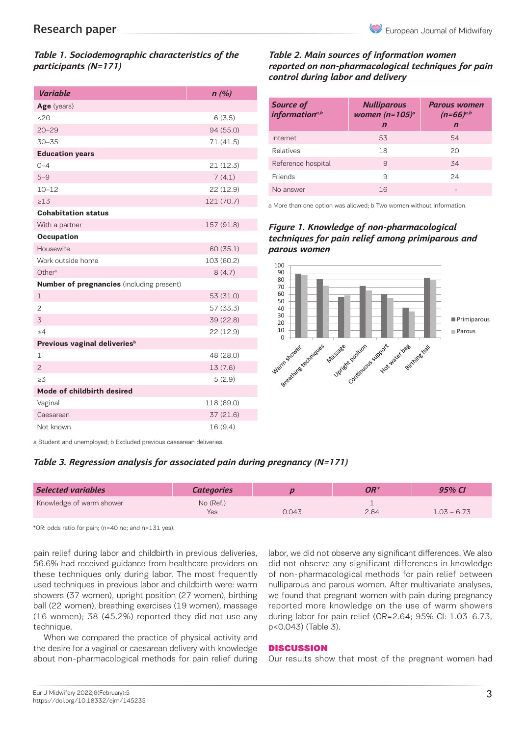# *Table 1. Sociodemographic characteristics of the participants (N=171)*

| <b>Variable</b>                                  | n(%)       |  |  |  |  |  |  |
|--------------------------------------------------|------------|--|--|--|--|--|--|
| Age (years)                                      |            |  |  |  |  |  |  |
| 20                                               | 6(3.5)     |  |  |  |  |  |  |
| $20 - 29$                                        | 94 (55.0)  |  |  |  |  |  |  |
| $30 - 35$                                        | 71(41.5)   |  |  |  |  |  |  |
| <b>Education years</b>                           |            |  |  |  |  |  |  |
| $0 - 4$                                          | 21(12.3)   |  |  |  |  |  |  |
| $5 - 9$                                          | 7(4.1)     |  |  |  |  |  |  |
| $10 - 12$                                        | 22 (12.9)  |  |  |  |  |  |  |
| >1.3                                             | 121 (70.7) |  |  |  |  |  |  |
| <b>Cohabitation status</b>                       |            |  |  |  |  |  |  |
| With a partner                                   | 157 (91.8) |  |  |  |  |  |  |
| Occupation                                       |            |  |  |  |  |  |  |
| Housewife                                        | 60(35.1)   |  |  |  |  |  |  |
| Work outside home                                | 103 (60.2) |  |  |  |  |  |  |
| Other <sup>a</sup>                               | 8(4.7)     |  |  |  |  |  |  |
| <b>Number of pregnancies</b> (including present) |            |  |  |  |  |  |  |
| $\mathbf 1$                                      | 53 (31.0)  |  |  |  |  |  |  |
| $\overline{c}$                                   | 57 (33.3)  |  |  |  |  |  |  |
| 3                                                | 39 (22.8)  |  |  |  |  |  |  |
| >4                                               | 22 (12.9)  |  |  |  |  |  |  |
| Previous vaginal deliveries <sup>b</sup>         |            |  |  |  |  |  |  |
| $\mathbf{1}$                                     | 48 (28.0)  |  |  |  |  |  |  |
| $\overline{c}$                                   | 13(7.6)    |  |  |  |  |  |  |
| >3                                               | 5(2.9)     |  |  |  |  |  |  |
| Mode of childbirth desired                       |            |  |  |  |  |  |  |
| Vaginal                                          | 118 (69.0) |  |  |  |  |  |  |
| Caesarean                                        | 37 (21.6)  |  |  |  |  |  |  |
| Not known                                        | 16 (9.4)   |  |  |  |  |  |  |

# *Table 2. Main sources of information women reported on non-pharmacological techniques for pain control during labor and delivery*<br>Regarding techniques for pain relief during and relief during and relief during labor and relief during and reli

| <b>Source of</b><br>information <sup>a,b</sup> | <b>Nulliparous</b><br>women (n=105) <sup>a</sup> | <b>Parous women</b><br>$(n=66)^{a,b}$<br>$\mathbf n$ |  |  |
|------------------------------------------------|--------------------------------------------------|------------------------------------------------------|--|--|
|                                                | $\mathbf n$                                      |                                                      |  |  |
| Internet                                       | 53                                               | 54                                                   |  |  |
| Relatives                                      | 18                                               | 20                                                   |  |  |
| Reference hospital                             | 9                                                | 34                                                   |  |  |
| <b>Friends</b>                                 | 9                                                | 24                                                   |  |  |
| No answer                                      | 16                                               |                                                      |  |  |
|                                                |                                                  |                                                      |  |  |

a More than one option was allowed; b Two women without information.

# **Figure 1. Knowledge of non-pharmacological** techniques for pain relief among primiparous and *parous women*



a Student and unemployed; b Excluded previous caesarean deliveries.

# *Table 3. Regression analysis for associated pain during pregnancy (N=171)*

| <b>Selected variables</b> | <b>Categories</b> |       | OR*  | 95% CI        |
|---------------------------|-------------------|-------|------|---------------|
| Knowledge of warm shower  | No (Ref.)         |       |      | $1.03 - 6.73$ |
|                           | Yes               | 0.043 | 2.64 |               |

\*OR: odds ratio for pain; (n=40 no; and n=131 yes).

pain relief during labor and childbirth in previous deliveries, 56.6% had received guidance from healthcare providers on these techniques only during labor. The most frequently used techniques in previous labor and childbirth were: warm showers (37 women), upright position (27 women), birthing ball (22 women), breathing exercises (19 women), massage (16 women); 38 (45.2%) reported they did not use any technique.

When we compared the practice of physical activity and the desire for a vaginal or caesarean delivery with knowledge about non-pharmacological methods for pain relief during labor, we did not observe any significant differences. We also did not observe any significant differences in knowledge of non-pharmacological methods for pain relief between nulliparous and parous women. After multivariate analyses, we found that pregnant women with pain during pregnancy reported more knowledge on the use of warm showers during labor for pain relief (OR=2.64; 95% CI: 1.03–6.73, p<0.043) (Table 3).

## **DISCUSSION**

Our results show that most of the pregnant women had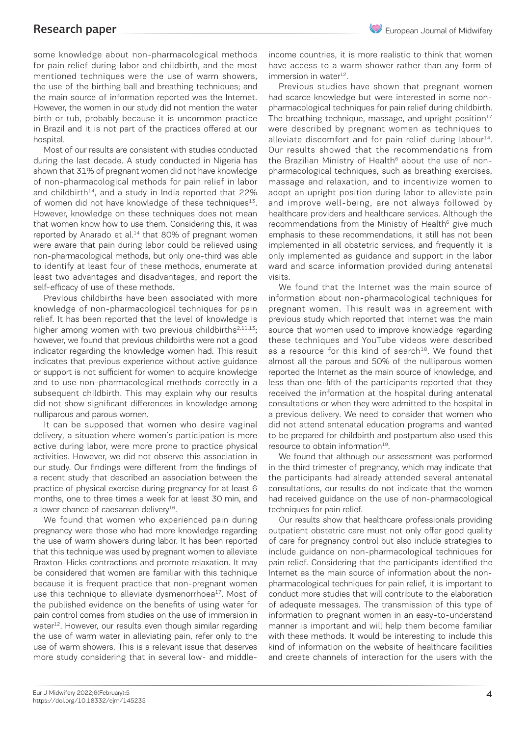# Research paper

some knowledge about non-pharmacological methods for pain relief during labor and childbirth, and the most mentioned techniques were the use of warm showers, the use of the birthing ball and breathing techniques; and the main source of information reported was the Internet. However, the women in our study did not mention the water birth or tub, probably because it is uncommon practice in Brazil and it is not part of the practices offered at our hospital.

Most of our results are consistent with studies conducted during the last decade. A study conducted in Nigeria has shown that 31% of pregnant women did not have knowledge of non-pharmacological methods for pain relief in labor and childbirth $14$ , and a study in India reported that 22% of women did not have knowledge of these techniques<sup>13</sup>. However, knowledge on these techniques does not mean that women know how to use them. Considering this, it was reported by Anarado et al.<sup>14</sup> that 80% of pregnant women were aware that pain during labor could be relieved using non-pharmacological methods, but only one-third was able to identify at least four of these methods, enumerate at least two advantages and disadvantages, and report the self-efficacy of use of these methods.

Previous childbirths have been associated with more knowledge of non-pharmacological techniques for pain relief. It has been reported that the level of knowledge is higher among women with two previous childbirths<sup>2,11,13</sup>; however, we found that previous childbirths were not a good indicator regarding the knowledge women had. This result indicates that previous experience without active guidance or support is not sufficient for women to acquire knowledge and to use non-pharmacological methods correctly in a subsequent childbirth. This may explain why our results did not show significant differences in knowledge among nulliparous and parous women.

It can be supposed that women who desire vaginal delivery, a situation where women's participation is more active during labor, were more prone to practice physical activities. However, we did not observe this association in our study. Our findings were different from the findings of a recent study that described an association between the practice of physical exercise during pregnancy for at least 6 months, one to three times a week for at least 30 min, and a lower chance of caesarean delivery $16$ .

We found that women who experienced pain during pregnancy were those who had more knowledge regarding the use of warm showers during labor. It has been reported that this technique was used by pregnant women to alleviate Braxton-Hicks contractions and promote relaxation. It may be considered that women are familiar with this technique because it is frequent practice that non-pregnant women use this technique to alleviate dysmenorrhoea<sup>17</sup>. Most of the published evidence on the benefits of using water for pain control comes from studies on the use of immersion in water<sup>12</sup>. However, our results even though similar regarding the use of warm water in alleviating pain, refer only to the use of warm showers. This is a relevant issue that deserves more study considering that in several low- and middleincome countries, it is more realistic to think that women have access to a warm shower rather than any form of immersion in water $12$ .

Previous studies have shown that pregnant women had scarce knowledge but were interested in some nonpharmacological techniques for pain relief during childbirth. The breathing technique, massage, and upright position $17$ were described by pregnant women as techniques to alleviate discomfort and for pain relief during labour<sup>14</sup>. Our results showed that the recommendations from the Brazilian Ministry of Health<sup>6</sup> about the use of nonpharmacological techniques, such as breathing exercises, massage and relaxation, and to incentivize women to adopt an upright position during labor to alleviate pain and improve well-being, are not always followed by healthcare providers and healthcare services. Although the recommendations from the Ministry of Health<sup>6</sup> give much emphasis to these recommendations, it still has not been implemented in all obstetric services, and frequently it is only implemented as guidance and support in the labor ward and scarce information provided during antenatal visits.

We found that the Internet was the main source of information about non-pharmacological techniques for pregnant women. This result was in agreement with previous study which reported that Internet was the main source that women used to improve knowledge regarding these techniques and YouTube videos were described as a resource for this kind of search $18$ . We found that almost all the parous and 50% of the nulliparous women reported the Internet as the main source of knowledge, and less than one-fifth of the participants reported that they received the information at the hospital during antenatal consultations or when they were admitted to the hospital in a previous delivery. We need to consider that women who did not attend antenatal education programs and wanted to be prepared for childbirth and postpartum also used this resource to obtain information<sup>19</sup>.

We found that although our assessment was performed in the third trimester of pregnancy, which may indicate that the participants had already attended several antenatal consultations, our results do not indicate that the women had received guidance on the use of non-pharmacological techniques for pain relief.

Our results show that healthcare professionals providing outpatient obstetric care must not only offer good quality of care for pregnancy control but also include strategies to include guidance on non-pharmacological techniques for pain relief. Considering that the participants identified the Internet as the main source of information about the nonpharmacological techniques for pain relief, it is important to conduct more studies that will contribute to the elaboration of adequate messages. The transmission of this type of information to pregnant women in an easy-to-understand manner is important and will help them become familiar with these methods. It would be interesting to include this kind of information on the website of healthcare facilities and create channels of interaction for the users with the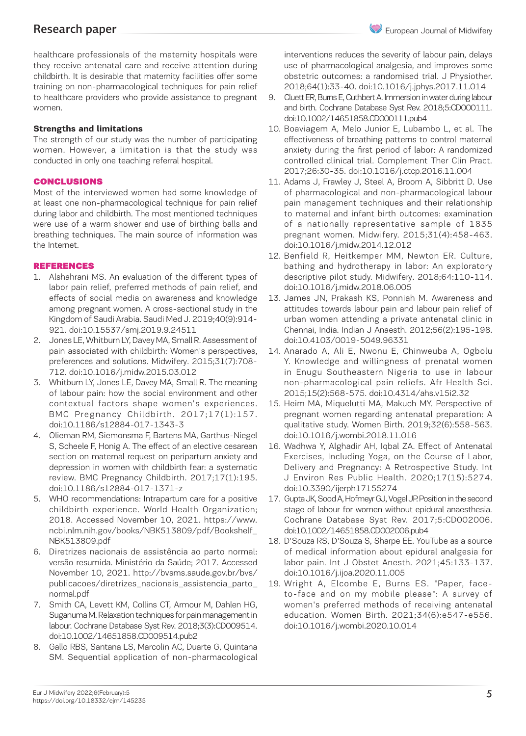healthcare professionals of the maternity hospitals were they receive antenatal care and receive attention during childbirth. It is desirable that maternity facilities offer some training on non-pharmacological techniques for pain relief to healthcare providers who provide assistance to pregnant women.

# **Strengths and limitations**

The strength of our study was the number of participating women. However, a limitation is that the study was conducted in only one teaching referral hospital.

### CONCLUSIONS

Most of the interviewed women had some knowledge of at least one non-pharmacological technique for pain relief during labor and childbirth. The most mentioned techniques were use of a warm shower and use of birthing balls and breathing techniques. The main source of information was the Internet.

### REFERENCES

- 1. Alshahrani MS. An evaluation of the different types of labor pain relief, preferred methods of pain relief, and effects of social media on awareness and knowledge among pregnant women. A cross-sectional study in the Kingdom of Saudi Arabia. Saudi Med J. 2019;40(9):914- 921. doi:10.15537/smj.2019.9.24511
- 2. Jones LE, Whitburn LY, Davey MA, Small R. Assessment of pain associated with childbirth: Women's perspectives, preferences and solutions. Midwifery. 2015;31(7):708- 712. doi:10.1016/j.midw.2015.03.012
- 3. Whitburn LY, Jones LE, Davey MA, Small R. The meaning of labour pain: how the social environment and other contextual factors shape women's experiences. BMC Pregnancy Childbirth. 2017;17(1):157. doi:10.1186/s12884-017-1343-3
- 4. Olieman RM, Siemonsma F, Bartens MA, Garthus-Niegel S, Scheele F, Honig A. The effect of an elective cesarean section on maternal request on peripartum anxiety and depression in women with childbirth fear: a systematic review. BMC Pregnancy Childbirth. 2017;17(1):195. doi:10.1186/s12884-017-1371-z
- 5. WHO recommendations: Intrapartum care for a positive childbirth experience. World Health Organization; 2018. Accessed November 10, 2021. https://www. ncbi.nlm.nih.gov/books/NBK513809/pdf/Bookshelf\_ NBK513809.pdf
- 6. Diretrizes nacionais de assistência ao parto normal: versão resumida. Ministério da Saúde; 2017. Accessed November 10, 2021. http://bvsms.saude.gov.br/bvs/ publicacoes/diretrizes\_nacionais\_assistencia\_parto\_ normal.pdf
- 7. Smith CA, Levett KM, Collins CT, Armour M, Dahlen HG, Suganuma M. Relaxation techniques for pain management in labour. Cochrane Database Syst Rev. 2018;3(3):CD009514. doi:10.1002/14651858.CD009514.pub2
- 8. Gallo RBS, Santana LS, Marcolin AC, Duarte G, Quintana SM. Sequential application of non-pharmacological

interventions reduces the severity of labour pain, delays use of pharmacological analgesia, and improves some obstetric outcomes: a randomised trial. J Physiother. 2018;64(1):33-40. doi:10.1016/j.jphys.2017.11.014

- 9. Cluett ER, Burns E, Cuthbert A. Immersion in water during labour and birth. Cochrane Database Syst Rev. 2018;5:CD000111. doi:10.1002/14651858.CD000111.pub4
- 10. Boaviagem A, Melo Junior E, Lubambo L, et al. The effectiveness of breathing patterns to control maternal anxiety during the first period of labor: A randomized controlled clinical trial. Complement Ther Clin Pract. 2017;26:30-35. doi:10.1016/j.ctcp.2016.11.004
- 11. Adams J, Frawley J, Steel A, Broom A, Sibbritt D. Use of pharmacological and non-pharmacological labour pain management techniques and their relationship to maternal and infant birth outcomes: examination of a nationally representative sample of 1835 pregnant women. Midwifery. 2015;31(4):458-463. doi:10.1016/j.midw.2014.12.012
- 12. Benfield R, Heitkemper MM, Newton ER. Culture, bathing and hydrotherapy in labor: An exploratory descriptive pilot study. Midwifery. 2018;64:110-114. doi:10.1016/j.midw.2018.06.005
- 13. James JN, Prakash KS, Ponniah M. Awareness and attitudes towards labour pain and labour pain relief of urban women attending a private antenatal clinic in Chennai, India. Indian J Anaesth. 2012;56(2):195-198. doi:10.4103/0019-5049.96331
- 14. Anarado A, Ali E, Nwonu E, Chinweuba A, Ogbolu Y. Knowledge and willingness of prenatal women in Enugu Southeastern Nigeria to use in labour non-pharmacological pain reliefs. Afr Health Sci. 2015;15(2):568-575. doi:10.4314/ahs.v15i2.32
- 15. Heim MA, Miquelutti MA, Makuch MY. Perspective of pregnant women regarding antenatal preparation: A qualitative study. Women Birth. 2019;32(6):558-563. doi:10.1016/j.wombi.2018.11.016
- 16. Wadhwa Y, Alghadir AH, Iqbal ZA. Effect of Antenatal Exercises, Including Yoga, on the Course of Labor, Delivery and Pregnancy: A Retrospective Study. Int J Environ Res Public Health. 2020;17(15):5274. doi:10.3390/ijerph17155274
- 17. Gupta JK, Sood A, Hofmeyr GJ, Vogel JP. Position in the second stage of labour for women without epidural anaesthesia. Cochrane Database Syst Rev. 2017;5:CD002006. doi:10.1002/14651858.CD002006.pub4
- 18. D'Souza RS, D'Souza S, Sharpe EE. YouTube as a source of medical information about epidural analgesia for labor pain. Int J Obstet Anesth. 2021;45:133-137. doi:10.1016/j.ijoa.2020.11.005
- 19. Wright A, Elcombe E, Burns ES. "Paper, faceto-face and on my mobile please": A survey of women's preferred methods of receiving antenatal education. Women Birth. 2021;34(6):e547-e556. doi:10.1016/j.wombi.2020.10.014